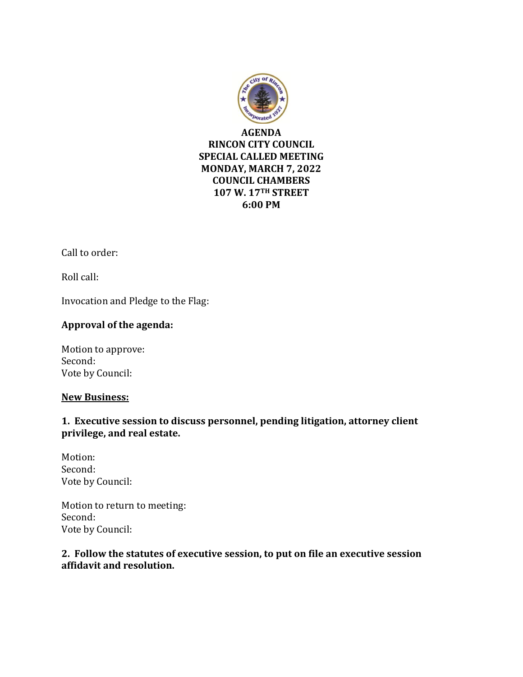

Call to order:

Roll call:

Invocation and Pledge to the Flag:

# **Approval of the agenda:**

Motion to approve: Second: Vote by Council:

#### **New Business:**

# **1. Executive session to discuss personnel, pending litigation, attorney client privilege, and real estate.**

Motion: Second: Vote by Council:

Motion to return to meeting: Second: Vote by Council:

### **2. Follow the statutes of executive session, to put on file an executive session affidavit and resolution.**